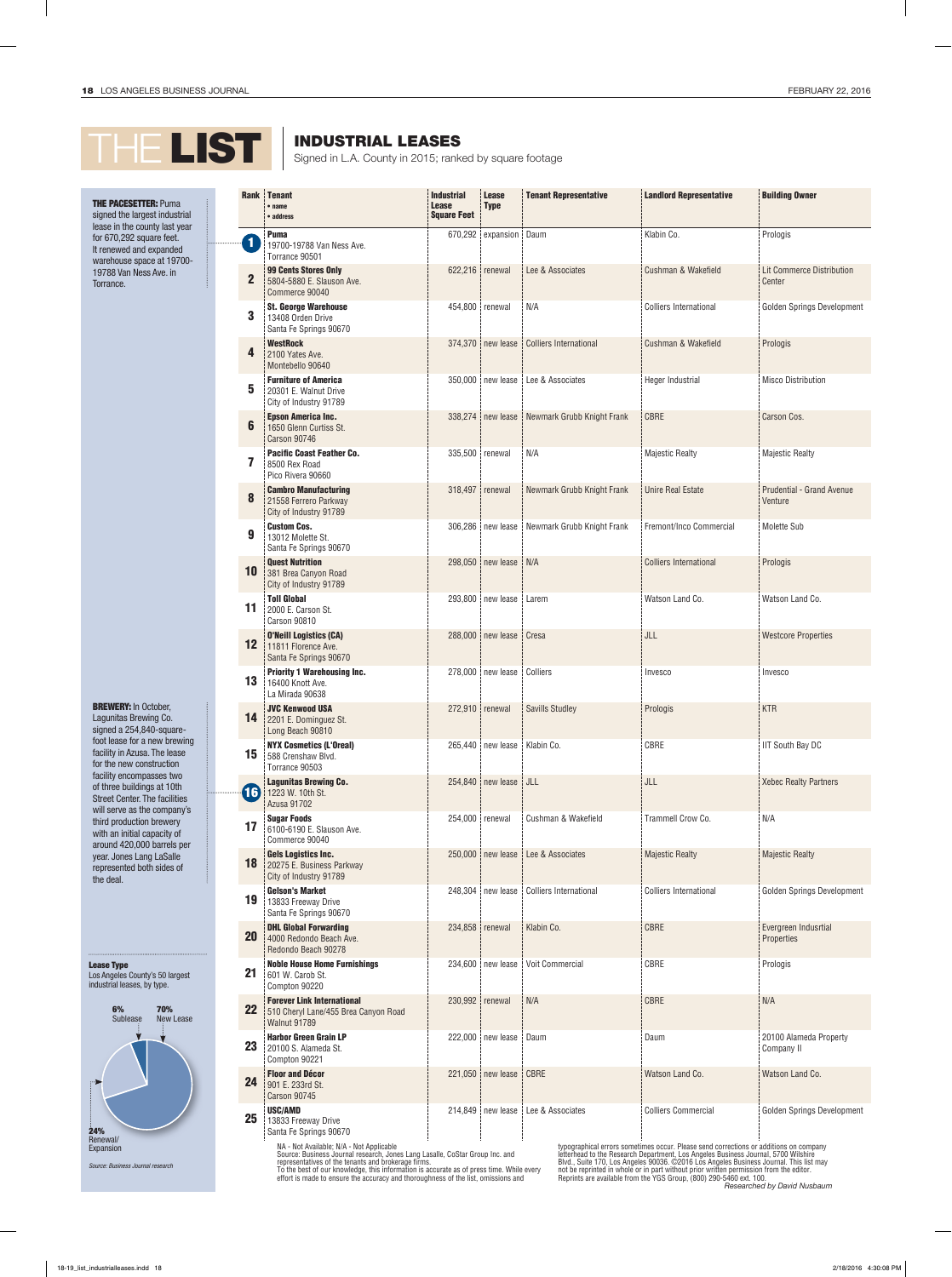## THE LIST SIGNAL LEASES Signed in L.A. County in 2015; ranked by square footage

INDUSTRIAL LEASES

## **THE PACESETTER: Puma** signed the largest industrial lease in the county last year for 670,292 square feet.

It renewed and expanded warehouse space at 19700- 19788 Van Ness Ave. in Torrance.

BREWERY: In October, Lagunitas Brewing Co. signed a 254,840-squarefoot lease for a new brewing facility in Azusa. The lease for the new construction facility encompasses two of three buildings at 10th Street Center. The facilities will serve as the company's third production brewery with an initial capacity of around 420,000 barrels per year. Jones Lang LaSalle represented both sides of the deal.

Lease Type Los Angeles County's 50 largest industrial leases, by type.



Santa Fe Springs 90670

NA - Not Available; N/A - Not Applicable<br>Source: Business Journal research, Jones Lang Lasalle, CoStar Group Inc. and<br>representatives of the tenants and brokerage firms.<br>To the best of our knowledge, this information is ac

typographical errors sometimes occur. Please send corrections or additions on company<br>letterhead to the Research Department, Los Angeles Business Journal, 5700 Wilshire<br>Blvd., Suite 170, Los Angeles 90036. ©2016 Los Angele not be reprinted in whole or in part without prior written permission from the editor. Reprints are available from the YGS Group, (800) 290-5460 ext. 100. *Researched by David Nusbaum*

| <b>Rank</b>  | <b>Tenant</b><br>$•$ name<br>• address                                                           | <b>Industrial</b><br><b>Lease</b><br><b>Square Feet</b> | <b>Lease</b><br><b>Type</b> | <b>Tenant Representative</b>  | <b>Landlord Representative</b> | <b>Building Owner</b>                |
|--------------|--------------------------------------------------------------------------------------------------|---------------------------------------------------------|-----------------------------|-------------------------------|--------------------------------|--------------------------------------|
| $\mathbf{1}$ | <b>Puma</b><br>19700-19788 Van Ness Ave.<br>Torrance 90501                                       | 670,292                                                 | expansion                   | Daum                          | Klabin Co.                     | Prologis                             |
| $\mathbf 2$  | <b>99 Cents Stores Only</b><br>5804-5880 E. Slauson Ave.<br>Commerce 90040                       | 622,216 renewal                                         |                             | Lee & Associates              | Cushman & Wakefield            | Lit Commerce Distribution<br>Center  |
| 3            | <b>St. George Warehouse</b><br>13408 Orden Drive<br>Santa Fe Springs 90670                       | 454,800 renewal                                         |                             | N/A                           | <b>Colliers International</b>  | Golden Springs Development           |
| 4            | <b>WestRock</b><br>2100 Yates Ave.<br>Montebello 90640                                           |                                                         | 374,370 new lease           | <b>Colliers International</b> | Cushman & Wakefield            | Prologis                             |
| 5            | <b>Furniture of America</b><br>20301 E. Walnut Drive<br>City of Industry 91789                   |                                                         | 350,000 new lease           | Lee & Associates              | Heger Industrial               | <b>Misco Distribution</b>            |
| 6            | <b>Epson America Inc.</b><br>1650 Glenn Curtiss St.<br>Carson 90746                              |                                                         | 338.274 new lease           | Newmark Grubb Knight Frank    | <b>CBRE</b>                    | Carson Cos.                          |
| 7            | <b>Pacific Coast Feather Co.</b><br>8500 Rex Road<br>Pico Rivera 90660                           | 335,500 renewal                                         |                             | N/A                           | <b>Majestic Realty</b>         | <b>Majestic Realty</b>               |
| 8            | <b>Cambro Manufacturing</b><br>21558 Ferrero Parkway<br>City of Industry 91789                   | 318,497                                                 | renewal                     | Newmark Grubb Knight Frank    | <b>Unire Real Estate</b>       | Prudential - Grand Avenue<br>Venture |
| 9            | <b>Custom Cos.</b><br>13012 Molette St.<br>Santa Fe Springs 90670                                | 306,286                                                 | new lease                   | Newmark Grubb Knight Frank    | Fremont/Inco Commercial        | Molette Sub                          |
| 10           | <b>Quest Nutrition</b><br>381 Brea Canyon Road<br>City of Industry 91789                         |                                                         | 298,050 new lease           | N/A                           | <b>Colliers International</b>  | Prologis                             |
| 11           | <b>Toll Global</b><br>2000 E. Carson St.<br><b>Carson 90810</b>                                  |                                                         | 293,800 new lease           | Larem                         | Watson Land Co.                | Watson Land Co.                      |
| 12           | <b>O'Neill Logistics (CA)</b><br>11811 Florence Ave.<br>Santa Fe Springs 90670                   |                                                         | 288,000 new lease           | Cresa                         | JLL                            | <b>Westcore Properties</b>           |
| 13           | <b>Priority 1 Warehousing Inc.</b><br>16400 Knott Ave.<br>La Mirada 90638                        |                                                         | 278,000 new lease Colliers  |                               | Invesco                        | Invesco                              |
| 14           | <b>JVC Kenwood USA</b><br>2201 E. Dominguez St.<br>Long Beach 90810                              | 272,910 renewal                                         |                             | <b>Savills Studley</b>        | Prologis                       | <b>KTR</b>                           |
| 15           | <b>NYX Cosmetics (L'Oreal)</b><br>588 Crenshaw Blvd.<br>Torrance 90503                           |                                                         | 265,440   new lease         | Klabin Co.                    | CBRE                           | <b>IIT South Bay DC</b>              |
| <b>16</b>    | <b>Lagunitas Brewing Co.</b><br>1223 W. 10th St.<br>Azusa 91702                                  |                                                         | 254.840 new lease           | JLL                           | JLL                            | <b>Xebec Realty Partners</b>         |
| 17           | <b>Sugar Foods</b><br>6100-6190 E. Slauson Ave.<br>Commerce 90040                                | 254,000 renewal                                         |                             | Cushman & Wakefield           | Trammell Crow Co.              | N/A                                  |
| 18           | <b>Gels Logistics Inc.</b><br>20275 E. Business Parkway<br>City of Industry 91789                |                                                         | 250,000 new lease           | Lee & Associates              | <b>Majestic Realty</b>         | <b>Majestic Realty</b>               |
| 19           | <b>Gelson's Market</b><br>13833 Freeway Drive<br>Santa Fe Springs 90670                          | 248,304                                                 | new lease                   | <b>Colliers International</b> | <b>Colliers International</b>  | Golden Springs Development           |
| <b>20</b>    | <b>DHL Global Forwarding</b><br>4000 Redondo Beach Ave.<br>Redondo Beach 90278                   | 234,858 renewal                                         |                             | Klabin Co.                    | CBRE                           | Evergreen Indusrtial<br>Properties   |
| 21           | <b>Noble House Home Furnishings</b><br>601 W. Carob St.<br>Compton 90220                         |                                                         | 234,600 new lease           | Voit Commercial               | CBRE                           | Prologis                             |
| 22           | <b>Forever Link International</b><br>510 Cheryl Lane/455 Brea Canyon Road<br><b>Walnut 91789</b> | 230,992 renewal                                         |                             | N/A                           | CBRE                           | N/A                                  |
| 23           | <b>Harbor Green Grain LP</b><br>20100 S. Alameda St.<br>Compton 90221                            |                                                         | 222,000 new lease           | Daum                          | Daum                           | 20100 Alameda Property<br>Company II |
| 24           | <b>Floor and Décor</b><br>901 E. 233rd St.<br><b>Carson 90745</b>                                |                                                         | 221,050 new lease           | CBRE                          | Watson Land Co.                | Watson Land Co.                      |
| 25           | <b>USC/AMD</b><br>13833 Freeway Drive<br>Santa Fe Springs 90670                                  |                                                         | 214,849 new lease           | Lee & Associates              | <b>Colliers Commercial</b>     | Golden Springs Development           |